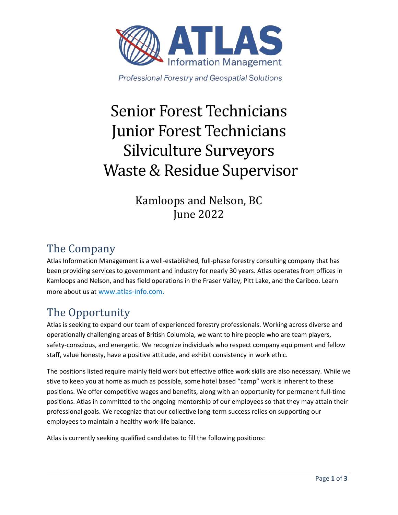

**Professional Forestry and Geospatial Solutions** 

# Senior Forest Technicians Junior Forest Technicians Silviculture Surveyors Waste & Residue Supervisor

Kamloops and Nelson, BC June 2022

# The Company

Atlas Information Management is a well-established, full-phase forestry consulting company that has been providing services to government and industry for nearly 30 years. Atlas operates from offices in Kamloops and Nelson, and has field operations in the Fraser Valley, Pitt Lake, and the Cariboo. Learn more about us at [www.atlas-info.com.](http://www.atlas-info.com/)

# The Opportunity

Atlas is seeking to expand our team of experienced forestry professionals. Working across diverse and operationally challenging areas of British Columbia, we want to hire people who are team players, safety-conscious, and energetic. We recognize individuals who respect company equipment and fellow staff, value honesty, have a positive attitude, and exhibit consistency in work ethic.

The positions listed require mainly field work but effective office work skills are also necessary. While we stive to keep you at home as much as possible, some hotel based "camp" work is inherent to these positions. We offer competitive wages and benefits, along with an opportunity for permanent full-time positions. Atlas in committed to the ongoing mentorship of our employees so that they may attain their professional goals. We recognize that our collective long-term success relies on supporting our employees to maintain a healthy work-life balance.

Atlas is currently seeking qualified candidates to fill the following positions: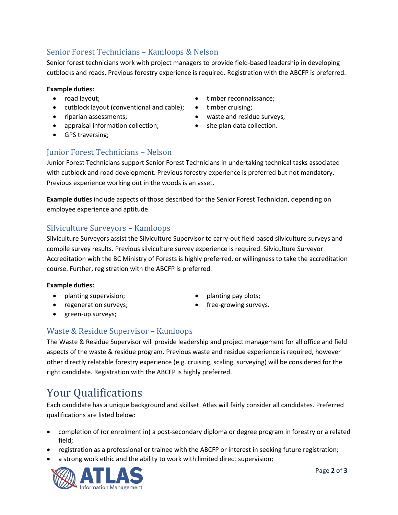### Senior Forest Technicians – Kamloops & Nelson

Senior forest technicians work with project managers to provide field-based leadership in developing cutblocks and roads. Previous forestry experience is required. Registration with the ABCFP is preferred.

#### **Example duties:**

- road layout;
- cutblock layout (conventional and cable);
- riparian assessments;
- appraisal information collection; site plan data collection.
- GPS traversing;
- timber reconnaissance;
- timber cruising;
- waste and residue surveys;
- 
- Junior Forest Technicians Nelson

Junior Forest Technicians support Senior Forest Technicians in undertaking technical tasks associated with cutblock and road development. Previous forestry experience is preferred but not mandatory. Previous experience working out in the woods is an asset.

**Example duties** include aspects of those described for the Senior Forest Technician, depending on employee experience and aptitude.

### Silviculture Surveyors – Kamloops

Silviculture Surveyors assist the Silviculture Supervisor to carry-out field based silviculture surveys and compile survey results. Previous silviculture survey experience is required. Silviculture Surveyor Accreditation with the BC Ministry of Forests is highly preferred, or willingness to take the accreditation course. Further, registration with the ABCFP is preferred.

#### **Example duties:**

- planting supervision;
- regeneration surveys;
- planting pay plots;
- free-growing surveys.

• green-up surveys;

#### Waste & Residue Supervisor – Kamloops

The Waste & Residue Supervisor will provide leadership and project management for all office and field aspects of the waste & residue program. Previous waste and residue experience is required, however other directly relatable forestry experience (e.g. cruising, scaling, surveying) will be considered for the right candidate. Registration with the ABCFP is highly preferred.

### Your Qualifications

Each candidate has a unique background and skillset. Atlas will fairly consider all candidates. Preferred qualifications are listed below:

- completion of (or enrolment in) a post-secondary diploma or degree program in forestry or a related field;
- registration as a professional or trainee with the ABCFP or interest in seeking future registration;
- a strong work ethic and the ability to work with limited direct supervision;